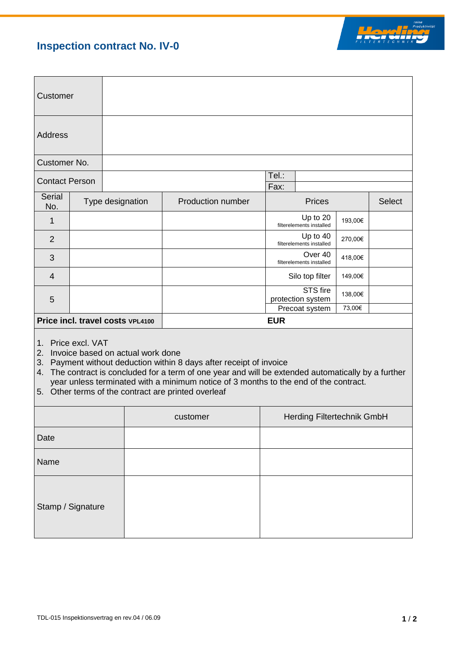## **Inspection contract No. IV-0**



| Customer              |  |                                  |                   |                                     |                                      |         |               |
|-----------------------|--|----------------------------------|-------------------|-------------------------------------|--------------------------------------|---------|---------------|
| Address               |  |                                  |                   |                                     |                                      |         |               |
| Customer No.          |  |                                  |                   |                                     |                                      |         |               |
| <b>Contact Person</b> |  |                                  |                   | Tel.:                               |                                      |         |               |
|                       |  |                                  |                   | Fax:                                |                                      |         |               |
| Serial<br>No.         |  | Type designation                 | Production number |                                     | <b>Prices</b>                        |         | <b>Select</b> |
| 1                     |  |                                  |                   |                                     | Up to 20<br>filterelements installed | 193,00€ |               |
| $\overline{2}$        |  |                                  |                   |                                     | Up to 40<br>filterelements installed | 270,00€ |               |
| 3                     |  |                                  |                   | Over 40<br>filterelements installed |                                      | 418,00€ |               |
| $\overline{4}$        |  |                                  |                   | Silo top filter                     |                                      | 149,00€ |               |
| 5                     |  |                                  |                   |                                     | STS fire<br>protection system        | 138,00€ |               |
|                       |  |                                  |                   |                                     | Precoat system                       | 73,00€  |               |
|                       |  | Price incl. travel costs VPL4100 | <b>EUR</b>        |                                     |                                      |         |               |
|                       |  |                                  |                   |                                     |                                      |         |               |

1. Price excl. VAT

2. Invoice based on actual work done

3. Payment without deduction within 8 days after receipt of invoice

4. The contract is concluded for a term of one year and will be extended automatically by a further year unless terminated with a minimum notice of 3 months to the end of the contract.

5. Other terms of the contract are printed overleaf

|                   | customer | Herding Filtertechnik GmbH |
|-------------------|----------|----------------------------|
| Date              |          |                            |
| Name              |          |                            |
| Stamp / Signature |          |                            |